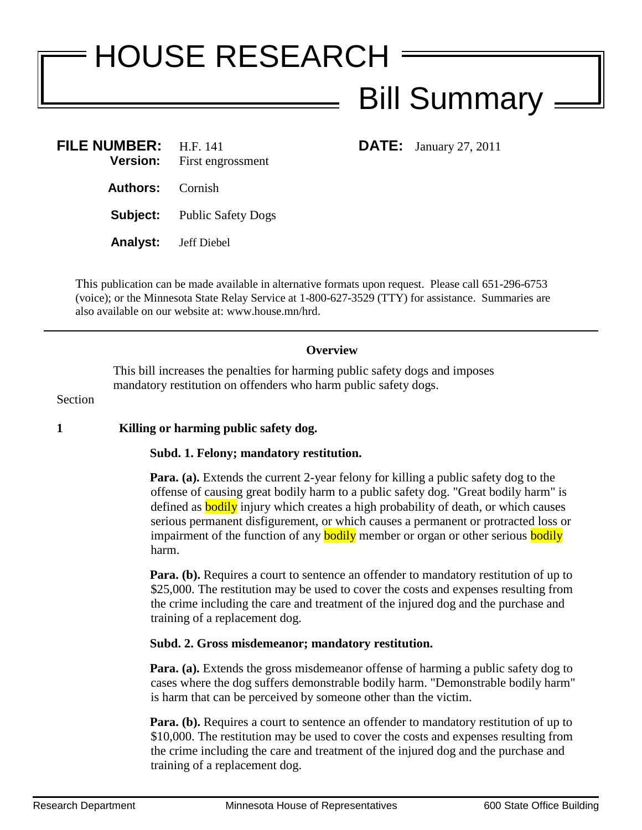# HOUSE RESEARCH Bill Summary

| <b>FILE NUMBER:</b><br><b>Version:</b> | H.F. 141<br>First engrossment |
|----------------------------------------|-------------------------------|
| <b>Authors:</b> Cornish                |                               |
| Subject:                               | <b>Public Safety Dogs</b>     |
| Analyst:                               | Jeff Diebel                   |

**DATE:** January 27, 2011

This publication can be made available in alternative formats upon request. Please call 651-296-6753 (voice); or the Minnesota State Relay Service at 1-800-627-3529 (TTY) for assistance. Summaries are also available on our website at: www.house.mn/hrd.

# **Overview**

This bill increases the penalties for harming public safety dogs and imposes mandatory restitution on offenders who harm public safety dogs.

**Section** 

# **1 Killing or harming public safety dog.**

### **Subd. 1. Felony; mandatory restitution.**

**Para.** (a). Extends the current 2-year felony for killing a public safety dog to the offense of causing great bodily harm to a public safety dog. "Great bodily harm" is defined as **bodily** injury which creates a high probability of death, or which causes serious permanent disfigurement, or which causes a permanent or protracted loss or impairment of the function of any **bodily** member or organ or other serious **bodily** harm.

**Para.** (b). Requires a court to sentence an offender to mandatory restitution of up to \$25,000. The restitution may be used to cover the costs and expenses resulting from the crime including the care and treatment of the injured dog and the purchase and training of a replacement dog.

### **Subd. 2. Gross misdemeanor; mandatory restitution.**

**Para. (a).** Extends the gross misdemeanor offense of harming a public safety dog to cases where the dog suffers demonstrable bodily harm. "Demonstrable bodily harm" is harm that can be perceived by someone other than the victim.

**Para. (b).** Requires a court to sentence an offender to mandatory restitution of up to \$10,000. The restitution may be used to cover the costs and expenses resulting from the crime including the care and treatment of the injured dog and the purchase and training of a replacement dog.